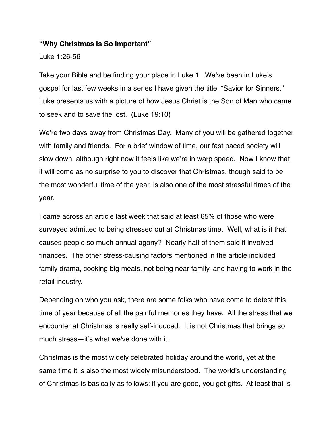#### **"Why Christmas Is So Important"**

Luke 1:26-56

Take your Bible and be finding your place in Luke 1. We've been in Luke's gospel for last few weeks in a series I have given the title, "Savior for Sinners." Luke presents us with a picture of how Jesus Christ is the Son of Man who came to seek and to save the lost. (Luke 19:10)

We're two days away from Christmas Day. Many of you will be gathered together with family and friends. For a brief window of time, our fast paced society will slow down, although right now it feels like we're in warp speed. Now I know that it will come as no surprise to you to discover that Christmas, though said to be the most wonderful time of the year, is also one of the most stressful times of the year.

I came across an article last week that said at least 65% of those who were surveyed admitted to being stressed out at Christmas time. Well, what is it that causes people so much annual agony? Nearly half of them said it involved finances. The other stress-causing factors mentioned in the article included family drama, cooking big meals, not being near family, and having to work in the retail industry.

Depending on who you ask, there are some folks who have come to detest this time of year because of all the painful memories they have. All the stress that we encounter at Christmas is really self-induced. It is not Christmas that brings so much stress—it's what we've done with it.

Christmas is the most widely celebrated holiday around the world, yet at the same time it is also the most widely misunderstood. The world's understanding of Christmas is basically as follows: if you are good, you get gifts. At least that is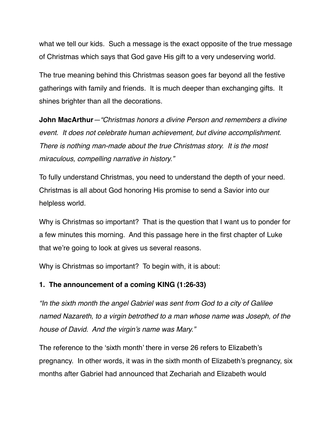what we tell our kids. Such a message is the exact opposite of the true message of Christmas which says that God gave His gift to a very undeserving world.

The true meaning behind this Christmas season goes far beyond all the festive gatherings with family and friends. It is much deeper than exchanging gifts. It shines brighter than all the decorations.

**John MacArthur***—"Christmas honors a divine Person and remembers a divine event. It does not celebrate human achievement, but divine accomplishment. There is nothing man-made about the true Christmas story. It is the most miraculous, compelling narrative in history."*

To fully understand Christmas, you need to understand the depth of your need. Christmas is all about God honoring His promise to send a Savior into our helpless world.

Why is Christmas so important? That is the question that I want us to ponder for a few minutes this morning. And this passage here in the first chapter of Luke that we're going to look at gives us several reasons.

Why is Christmas so important? To begin with, it is about:

## **1. The announcement of a coming KING (1:26-33)**

*"In the sixth month the angel Gabriel was sent from God to a city of Galilee named Nazareth, to a virgin betrothed to a man whose name was Joseph, of the house of David. And the virgin's name was Mary."*

The reference to the 'sixth month' there in verse 26 refers to Elizabeth's pregnancy. In other words, it was in the sixth month of Elizabeth's pregnancy, six months after Gabriel had announced that Zechariah and Elizabeth would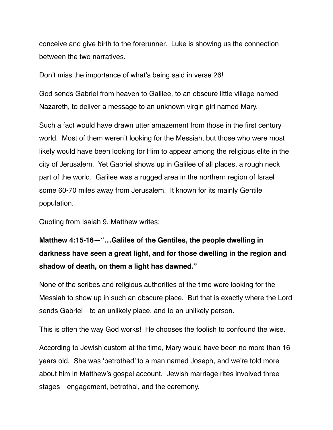conceive and give birth to the forerunner. Luke is showing us the connection between the two narratives.

Don't miss the importance of what's being said in verse 26!

God sends Gabriel from heaven to Galilee, to an obscure little village named Nazareth, to deliver a message to an unknown virgin girl named Mary.

Such a fact would have drawn utter amazement from those in the first century world. Most of them weren't looking for the Messiah, but those who were most likely would have been looking for Him to appear among the religious elite in the city of Jerusalem. Yet Gabriel shows up in Galilee of all places, a rough neck part of the world. Galilee was a rugged area in the northern region of Israel some 60-70 miles away from Jerusalem. It known for its mainly Gentile population.

Quoting from Isaiah 9, Matthew writes:

# **Matthew 4:15-16—"…Galilee of the Gentiles, the people dwelling in darkness have seen a great light, and for those dwelling in the region and shadow of death, on them a light has dawned."**

None of the scribes and religious authorities of the time were looking for the Messiah to show up in such an obscure place. But that is exactly where the Lord sends Gabriel—to an unlikely place, and to an unlikely person.

This is often the way God works! He chooses the foolish to confound the wise.

According to Jewish custom at the time, Mary would have been no more than 16 years old. She was 'betrothed' to a man named Joseph, and we're told more about him in Matthew's gospel account. Jewish marriage rites involved three stages—engagement, betrothal, and the ceremony.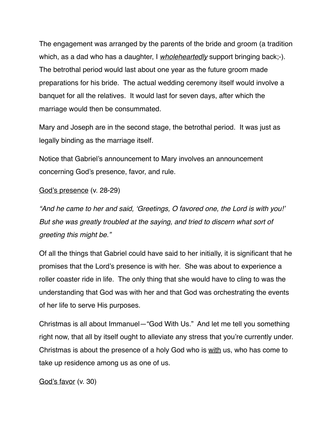The engagement was arranged by the parents of the bride and groom (a tradition which, as a dad who has a daughter, I *wholeheartedly* support bringing back;-). The betrothal period would last about one year as the future groom made preparations for his bride. The actual wedding ceremony itself would involve a banquet for all the relatives. It would last for seven days, after which the marriage would then be consummated.

Mary and Joseph are in the second stage, the betrothal period. It was just as legally binding as the marriage itself.

Notice that Gabriel's announcement to Mary involves an announcement concerning God's presence, favor, and rule.

#### God's presence (v. 28-29)

*"And he came to her and said, 'Greetings, O favored one, the Lord is with you!' But she was greatly troubled at the saying, and tried to discern what sort of greeting this might be."*

Of all the things that Gabriel could have said to her initially, it is significant that he promises that the Lord's presence is with her. She was about to experience a roller coaster ride in life. The only thing that she would have to cling to was the understanding that God was with her and that God was orchestrating the events of her life to serve His purposes.

Christmas is all about Immanuel—"God With Us." And let me tell you something right now, that all by itself ought to alleviate any stress that you're currently under. Christmas is about the presence of a holy God who is with us, who has come to take up residence among us as one of us.

God's favor (v. 30)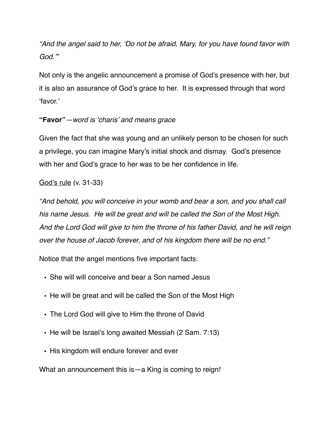*"And the angel said to her, 'Do not be afraid, Mary, for you have found favor with God.'"*

Not only is the angelic announcement a promise of God's presence with her, but it is also an assurance of God's grace to her. It is expressed through that word 'favor.'

## **"Favor"***—word is 'charis' and means grace*

Given the fact that she was young and an unlikely person to be chosen for such a privilege, you can imagine Mary's initial shock and dismay. God's presence with her and God's grace to her was to be her confidence in life.

## God's rule (v. 31-33)

*"And behold, you will conceive in your womb and bear a son, and you shall call his name Jesus. He will be great and will be called the Son of the Most High. And the Lord God will give to him the throne of his father David, and he will reign over the house of Jacob forever, and of his kingdom there will be no end."*

Notice that the angel mentions five important facts:

- She will will conceive and bear a Son named Jesus
- He will be great and will be called the Son of the Most High
- The Lord God will give to Him the throne of David
- He will be Israel's long awaited Messiah (2 Sam. 7:13)
- His kingdom will endure forever and ever

What an announcement this is—a King is coming to reign!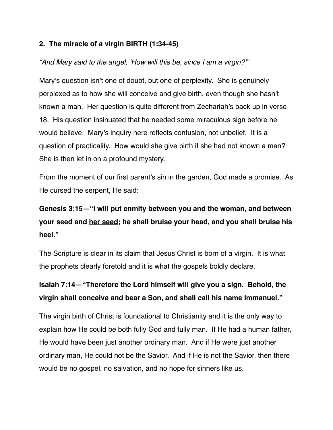## **2. The miracle of a virgin BIRTH (1:34-45)**

## *"And Mary said to the angel, 'How will this be, since I am a virgin?'"*

Mary's question isn't one of doubt, but one of perplexity. She is genuinely perplexed as to how she will conceive and give birth, even though she hasn't known a man. Her question is quite different from Zechariah's back up in verse 18. His question insinuated that he needed some miraculous sign before he would believe. Mary's inquiry here reflects confusion, not unbelief. It is a question of practicality. How would she give birth if she had not known a man? She is then let in on a profound mystery.

From the moment of our first parent's sin in the garden, God made a promise. As He cursed the serpent, He said:

# **Genesis 3:15—"I will put enmity between you and the woman, and between your seed and her seed; he shall bruise your head, and you shall bruise his heel."**

The Scripture is clear in its claim that Jesus Christ is born of a virgin. It is what the prophets clearly foretold and it is what the gospels boldly declare.

# **Isaiah 7:14—"Therefore the Lord himself will give you a sign. Behold, the virgin shall conceive and bear a Son, and shall call his name Immanuel."**

The virgin birth of Christ is foundational to Christianity and it is the only way to explain how He could be both fully God and fully man. If He had a human father, He would have been just another ordinary man. And if He were just another ordinary man, He could not be the Savior. And if He is not the Savior, then there would be no gospel, no salvation, and no hope for sinners like us.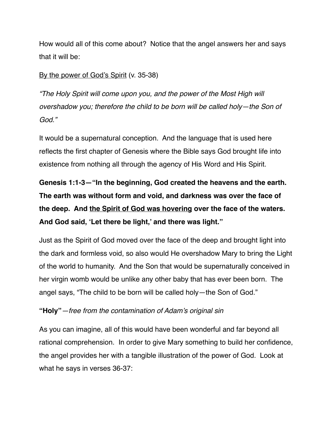How would all of this come about? Notice that the angel answers her and says that it will be:

## By the power of God's Spirit (v. 35-38)

*"The Holy Spirit will come upon you, and the power of the Most High will overshadow you; therefore the child to be born will be called holy—the Son of God."*

It would be a supernatural conception. And the language that is used here reflects the first chapter of Genesis where the Bible says God brought life into existence from nothing all through the agency of His Word and His Spirit.

**Genesis 1:1-3—"In the beginning, God created the heavens and the earth. The earth was without form and void, and darkness was over the face of the deep. And the Spirit of God was hovering over the face of the waters. And God said, 'Let there be light,' and there was light."**

Just as the Spirit of God moved over the face of the deep and brought light into the dark and formless void, so also would He overshadow Mary to bring the Light of the world to humanity. And the Son that would be supernaturally conceived in her virgin womb would be unlike any other baby that has ever been born. The angel says, "The child to be born will be called holy—the Son of God."

# **"Holy"***—free from the contamination of Adam's original sin*

As you can imagine, all of this would have been wonderful and far beyond all rational comprehension. In order to give Mary something to build her confidence, the angel provides her with a tangible illustration of the power of God. Look at what he says in verses 36-37: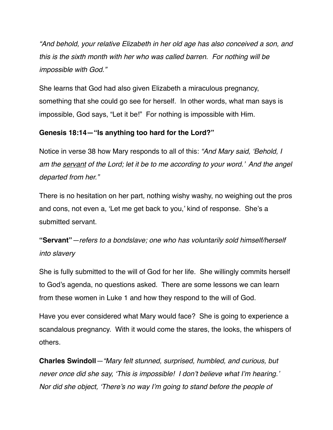*"And behold, your relative Elizabeth in her old age has also conceived a son, and this is the sixth month with her who was called barren. For nothing will be impossible with God."*

She learns that God had also given Elizabeth a miraculous pregnancy, something that she could go see for herself. In other words, what man says is impossible, God says, "Let it be!" For nothing is impossible with Him.

# **Genesis 18:14—"Is anything too hard for the Lord?"**

Notice in verse 38 how Mary responds to all of this: *"And Mary said, 'Behold, I am the servant of the Lord; let it be to me according to your word.' And the angel departed from her."*

There is no hesitation on her part, nothing wishy washy, no weighing out the pros and cons, not even a, 'Let me get back to you,' kind of response. She's a submitted servant.

**"Servant"***—refers to a bondslave; one who has voluntarily sold himself/herself into slavery*

She is fully submitted to the will of God for her life. She willingly commits herself to God's agenda, no questions asked. There are some lessons we can learn from these women in Luke 1 and how they respond to the will of God.

Have you ever considered what Mary would face? She is going to experience a scandalous pregnancy. With it would come the stares, the looks, the whispers of others.

**Charles Swindoll***—"Mary felt stunned, surprised, humbled, and curious, but never once did she say, 'This is impossible! I don't believe what I'm hearing.' Nor did she object, 'There's no way I'm going to stand before the people of*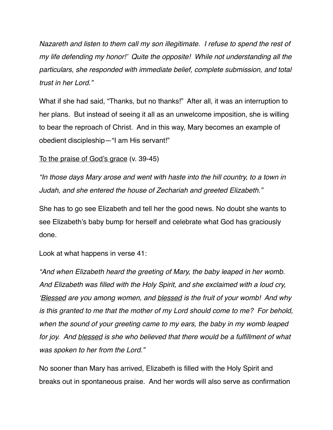*Nazareth and listen to them call my son illegitimate. I refuse to spend the rest of my life defending my honor!' Quite the opposite! While not understanding all the particulars, she responded with immediate belief, complete submission, and total trust in her Lord."*

What if she had said, "Thanks, but no thanks!" After all, it was an interruption to her plans. But instead of seeing it all as an unwelcome imposition, she is willing to bear the reproach of Christ. And in this way, Mary becomes an example of obedient discipleship—"I am His servant!"

To the praise of God's grace (v. 39-45)

*"In those days Mary arose and went with haste into the hill country, to a town in Judah, and she entered the house of Zechariah and greeted Elizabeth."*

She has to go see Elizabeth and tell her the good news. No doubt she wants to see Elizabeth's baby bump for herself and celebrate what God has graciously done.

Look at what happens in verse 41:

*"And when Elizabeth heard the greeting of Mary, the baby leaped in her womb. And Elizabeth was filled with the Holy Spirit, and she exclaimed with a loud cry, 'Blessed are you among women, and blessed is the fruit of your womb! And why is this granted to me that the mother of my Lord should come to me? For behold, when the sound of your greeting came to my ears, the baby in my womb leaped*  for joy. And blessed is she who believed that there would be a fulfillment of what *was spoken to her from the Lord."*

No sooner than Mary has arrived, Elizabeth is filled with the Holy Spirit and breaks out in spontaneous praise. And her words will also serve as confirmation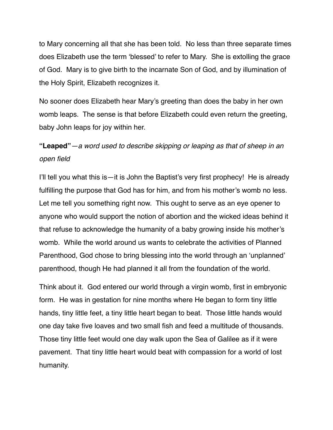to Mary concerning all that she has been told. No less than three separate times does Elizabeth use the term 'blessed' to refer to Mary. She is extolling the grace of God. Mary is to give birth to the incarnate Son of God, and by illumination of the Holy Spirit, Elizabeth recognizes it.

No sooner does Elizabeth hear Mary's greeting than does the baby in her own womb leaps. The sense is that before Elizabeth could even return the greeting, baby John leaps for joy within her.

# **"Leaped"***—a word used to describe skipping or leaping as that of sheep in an open field*

I'll tell you what this is—it is John the Baptist's very first prophecy! He is already fulfilling the purpose that God has for him, and from his mother's womb no less. Let me tell you something right now. This ought to serve as an eye opener to anyone who would support the notion of abortion and the wicked ideas behind it that refuse to acknowledge the humanity of a baby growing inside his mother's womb. While the world around us wants to celebrate the activities of Planned Parenthood, God chose to bring blessing into the world through an 'unplanned' parenthood, though He had planned it all from the foundation of the world.

Think about it. God entered our world through a virgin womb, first in embryonic form. He was in gestation for nine months where He began to form tiny little hands, tiny little feet, a tiny little heart began to beat. Those little hands would one day take five loaves and two small fish and feed a multitude of thousands. Those tiny little feet would one day walk upon the Sea of Galilee as if it were pavement. That tiny little heart would beat with compassion for a world of lost humanity.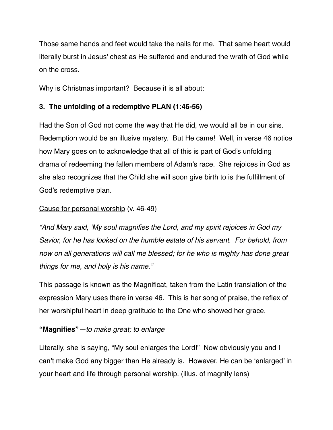Those same hands and feet would take the nails for me. That same heart would literally burst in Jesus' chest as He suffered and endured the wrath of God while on the cross.

Why is Christmas important? Because it is all about:

# **3. The unfolding of a redemptive PLAN (1:46-56)**

Had the Son of God not come the way that He did, we would all be in our sins. Redemption would be an illusive mystery. But He came! Well, in verse 46 notice how Mary goes on to acknowledge that all of this is part of God's unfolding drama of redeeming the fallen members of Adam's race. She rejoices in God as she also recognizes that the Child she will soon give birth to is the fulfillment of God's redemptive plan.

## Cause for personal worship (v. 46-49)

*"And Mary said, 'My soul magnifies the Lord, and my spirit rejoices in God my Savior, for he has looked on the humble estate of his servant. For behold, from now on all generations will call me blessed; for he who is mighty has done great things for me, and holy is his name."*

This passage is known as the Magnificat, taken from the Latin translation of the expression Mary uses there in verse 46. This is her song of praise, the reflex of her worshipful heart in deep gratitude to the One who showed her grace.

## **"Magnifies"***—to make great; to enlarge*

Literally, she is saying, "My soul enlarges the Lord!" Now obviously you and I can't make God any bigger than He already is. However, He can be 'enlarged' in your heart and life through personal worship. (illus. of magnify lens)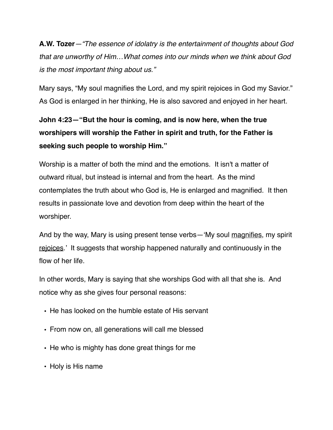**A.W. Tozer***—"The essence of idolatry is the entertainment of thoughts about God that are unworthy of Him…What comes into our minds when we think about God is the most important thing about us."* 

Mary says, "My soul magnifies the Lord, and my spirit rejoices in God my Savior." As God is enlarged in her thinking, He is also savored and enjoyed in her heart.

**John 4:23—"But the hour is coming, and is now here, when the true worshipers will worship the Father in spirit and truth, for the Father is seeking such people to worship Him."**

Worship is a matter of both the mind and the emotions. It isn't a matter of outward ritual, but instead is internal and from the heart. As the mind contemplates the truth about who God is, He is enlarged and magnified. It then results in passionate love and devotion from deep within the heart of the worshiper.

And by the way, Mary is using present tense verbs—'My soul magnifies, my spirit rejoices.' It suggests that worship happened naturally and continuously in the flow of her life.

In other words, Mary is saying that she worships God with all that she is. And notice why as she gives four personal reasons:

- **•** He has looked on the humble estate of His servant
- **•** From now on, all generations will call me blessed
- **•** He who is mighty has done great things for me
- **•** Holy is His name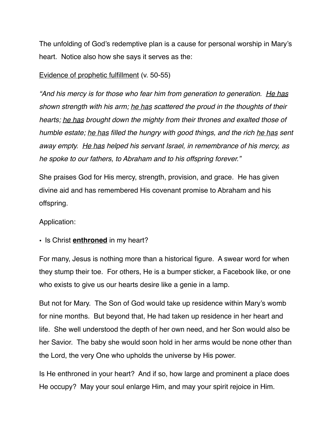The unfolding of God's redemptive plan is a cause for personal worship in Mary's heart. Notice also how she says it serves as the:

### Evidence of prophetic fulfillment (v. 50-55)

*"And his mercy is for those who fear him from generation to generation. He has shown strength with his arm; he has scattered the proud in the thoughts of their hearts; he has brought down the mighty from their thrones and exalted those of humble estate; he has filled the hungry with good things, and the rich he has sent away empty. He has helped his servant Israel, in remembrance of his mercy, as he spoke to our fathers, to Abraham and to his offspring forever."*

She praises God for His mercy, strength, provision, and grace. He has given divine aid and has remembered His covenant promise to Abraham and his offspring.

### Application:

### • Is Christ **enthroned** in my heart?

For many, Jesus is nothing more than a historical figure. A swear word for when they stump their toe. For others, He is a bumper sticker, a Facebook like, or one who exists to give us our hearts desire like a genie in a lamp.

But not for Mary. The Son of God would take up residence within Mary's womb for nine months. But beyond that, He had taken up residence in her heart and life. She well understood the depth of her own need, and her Son would also be her Savior. The baby she would soon hold in her arms would be none other than the Lord, the very One who upholds the universe by His power.

Is He enthroned in your heart? And if so, how large and prominent a place does He occupy? May your soul enlarge Him, and may your spirit rejoice in Him.